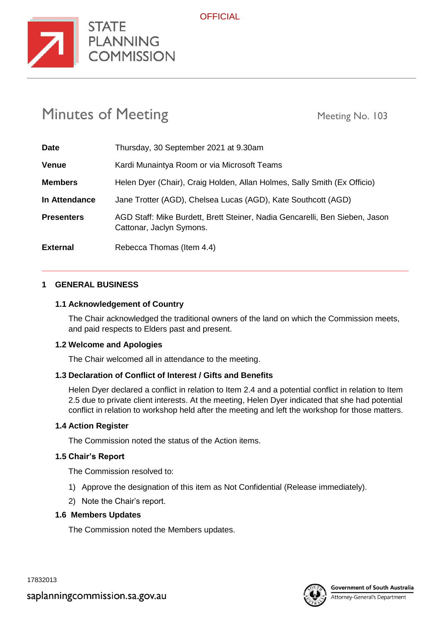

# Minutes of Meeting Meeting Meeting No. 103

**STATE** 

**COMMISSION** 

| <b>Date</b>       | Thursday, 30 September 2021 at 9.30am                                                                   |
|-------------------|---------------------------------------------------------------------------------------------------------|
| <b>Venue</b>      | Kardi Munaintya Room or via Microsoft Teams                                                             |
| <b>Members</b>    | Helen Dyer (Chair), Craig Holden, Allan Holmes, Sally Smith (Ex Officio)                                |
| In Attendance     | Jane Trotter (AGD), Chelsea Lucas (AGD), Kate Southcott (AGD)                                           |
| <b>Presenters</b> | AGD Staff: Mike Burdett, Brett Steiner, Nadia Gencarelli, Ben Sieben, Jason<br>Cattonar, Jaclyn Symons. |
| <b>External</b>   | Rebecca Thomas (Item 4.4)                                                                               |

#### **1 GENERAL BUSINESS**

#### **1.1 Acknowledgement of Country**

The Chair acknowledged the traditional owners of the land on which the Commission meets, and paid respects to Elders past and present.

#### **1.2 Welcome and Apologies**

The Chair welcomed all in attendance to the meeting.

#### **1.3 Declaration of Conflict of Interest / Gifts and Benefits**

Helen Dyer declared a conflict in relation to Item 2.4 and a potential conflict in relation to Item 2.5 due to private client interests. At the meeting, Helen Dyer indicated that she had potential conflict in relation to workshop held after the meeting and left the workshop for those matters.

#### **1.4 Action Register**

The Commission noted the status of the Action items.

#### **1.5 Chair's Report**

The Commission resolved to:

- 1) Approve the designation of this item as Not Confidential (Release immediately).
- 2) Note the Chair's report.

#### **1.6 Members Updates**

The Commission noted the Members updates.

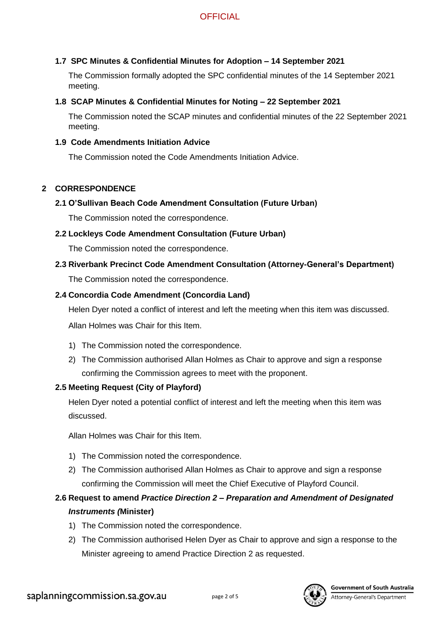## **1.7 SPC Minutes & Confidential Minutes for Adoption – 14 September 2021**

The Commission formally adopted the SPC confidential minutes of the 14 September 2021 meeting.

#### **1.8 SCAP Minutes & Confidential Minutes for Noting – 22 September 2021**

The Commission noted the SCAP minutes and confidential minutes of the 22 September 2021 meeting.

#### **1.9 Code Amendments Initiation Advice**

The Commission noted the Code Amendments Initiation Advice.

#### **2 CORRESPONDENCE**

## **2.1 O'Sullivan Beach Code Amendment Consultation (Future Urban)**

The Commission noted the correspondence.

#### **2.2 Lockleys Code Amendment Consultation (Future Urban)**

The Commission noted the correspondence.

# **2.3 Riverbank Precinct Code Amendment Consultation (Attorney-General's Department)**

The Commission noted the correspondence.

#### **2.4 Concordia Code Amendment (Concordia Land)**

Helen Dyer noted a conflict of interest and left the meeting when this item was discussed.

Allan Holmes was Chair for this Item.

- 1) The Commission noted the correspondence.
- 2) The Commission authorised Allan Holmes as Chair to approve and sign a response confirming the Commission agrees to meet with the proponent.

#### **2.5 Meeting Request (City of Playford)**

Helen Dyer noted a potential conflict of interest and left the meeting when this item was discussed.

Allan Holmes was Chair for this Item.

- 1) The Commission noted the correspondence.
- 2) The Commission authorised Allan Holmes as Chair to approve and sign a response confirming the Commission will meet the Chief Executive of Playford Council.

# **2.6 Request to amend** *Practice Direction 2 – Preparation and Amendment of Designated Instruments (***Minister)**

- 1) The Commission noted the correspondence.
- 2) The Commission authorised Helen Dyer as Chair to approve and sign a response to the Minister agreeing to amend Practice Direction 2 as requested.

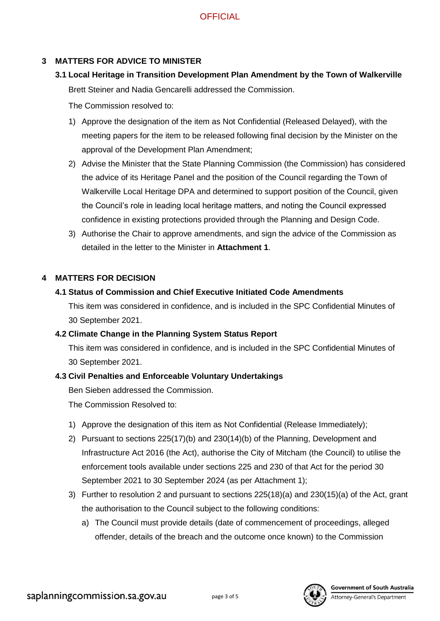## **3 MATTERS FOR ADVICE TO MINISTER**

**3.1 Local Heritage in Transition Development Plan Amendment by the Town of Walkerville** Brett Steiner and Nadia Gencarelli addressed the Commission.

The Commission resolved to:

- 1) Approve the designation of the item as Not Confidential (Released Delayed), with the meeting papers for the item to be released following final decision by the Minister on the approval of the Development Plan Amendment;
- 2) Advise the Minister that the State Planning Commission (the Commission) has considered the advice of its Heritage Panel and the position of the Council regarding the Town of Walkerville Local Heritage DPA and determined to support position of the Council, given the Council's role in leading local heritage matters, and noting the Council expressed confidence in existing protections provided through the Planning and Design Code.
- 3) Authorise the Chair to approve amendments, and sign the advice of the Commission as detailed in the letter to the Minister in **Attachment 1**.

#### **4 MATTERS FOR DECISION**

## **4.1 Status of Commission and Chief Executive Initiated Code Amendments**

This item was considered in confidence, and is included in the SPC Confidential Minutes of 30 September 2021.

#### **4.2 Climate Change in the Planning System Status Report**

This item was considered in confidence, and is included in the SPC Confidential Minutes of 30 September 2021.

#### **4.3 Civil Penalties and Enforceable Voluntary Undertakings**

Ben Sieben addressed the Commission.

The Commission Resolved to:

- 1) Approve the designation of this item as Not Confidential (Release Immediately);
- 2) Pursuant to sections 225(17)(b) and 230(14)(b) of the Planning, Development and Infrastructure Act 2016 (the Act), authorise the City of Mitcham (the Council) to utilise the enforcement tools available under sections 225 and 230 of that Act for the period 30 September 2021 to 30 September 2024 (as per Attachment 1);
- 3) Further to resolution 2 and pursuant to sections 225(18)(a) and 230(15)(a) of the Act, grant the authorisation to the Council subject to the following conditions:
	- a) The Council must provide details (date of commencement of proceedings, alleged offender, details of the breach and the outcome once known) to the Commission

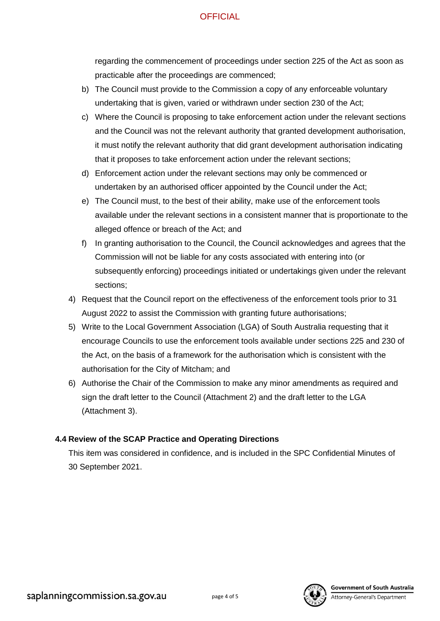## **OFFICIAL**

regarding the commencement of proceedings under section 225 of the Act as soon as practicable after the proceedings are commenced;

- b) The Council must provide to the Commission a copy of any enforceable voluntary undertaking that is given, varied or withdrawn under section 230 of the Act;
- c) Where the Council is proposing to take enforcement action under the relevant sections and the Council was not the relevant authority that granted development authorisation, it must notify the relevant authority that did grant development authorisation indicating that it proposes to take enforcement action under the relevant sections;
- d) Enforcement action under the relevant sections may only be commenced or undertaken by an authorised officer appointed by the Council under the Act;
- e) The Council must, to the best of their ability, make use of the enforcement tools available under the relevant sections in a consistent manner that is proportionate to the alleged offence or breach of the Act; and
- f) In granting authorisation to the Council, the Council acknowledges and agrees that the Commission will not be liable for any costs associated with entering into (or subsequently enforcing) proceedings initiated or undertakings given under the relevant sections;
- 4) Request that the Council report on the effectiveness of the enforcement tools prior to 31 August 2022 to assist the Commission with granting future authorisations;
- 5) Write to the Local Government Association (LGA) of South Australia requesting that it encourage Councils to use the enforcement tools available under sections 225 and 230 of the Act, on the basis of a framework for the authorisation which is consistent with the authorisation for the City of Mitcham; and
- 6) Authorise the Chair of the Commission to make any minor amendments as required and sign the draft letter to the Council (Attachment 2) and the draft letter to the LGA (Attachment 3).

## **4.4 Review of the SCAP Practice and Operating Directions**

This item was considered in confidence, and is included in the SPC Confidential Minutes of 30 September 2021.



**Government of South Australia**